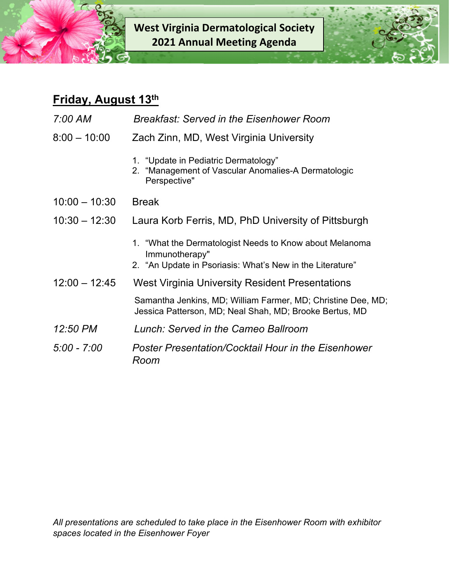**West Virginia Dermatological Society 2021 Annual Meeting Agenda**



## **Friday, August 13th**

| 7:00 AM         | <b>Breakfast: Served in the Eisenhower Room</b>                                                                                        |
|-----------------|----------------------------------------------------------------------------------------------------------------------------------------|
| $8:00 - 10:00$  | Zach Zinn, MD, West Virginia University                                                                                                |
|                 | 1. "Update in Pediatric Dermatology"<br>2. "Management of Vascular Anomalies-A Dermatologic<br>Perspective"                            |
| $10:00 - 10:30$ | <b>Break</b>                                                                                                                           |
| $10:30 - 12:30$ | Laura Korb Ferris, MD, PhD University of Pittsburgh                                                                                    |
|                 | 1. "What the Dermatologist Needs to Know about Melanoma<br>Immunotherapy"<br>2. "An Update in Psoriasis: What's New in the Literature" |
| $12:00 - 12:45$ | West Virginia University Resident Presentations                                                                                        |
|                 | Samantha Jenkins, MD; William Farmer, MD; Christine Dee, MD;<br>Jessica Patterson, MD; Neal Shah, MD; Brooke Bertus, MD                |
| 12:50 PM        | Lunch: Served in the Cameo Ballroom                                                                                                    |
| $5:00 - 7:00$   | Poster Presentation/Cocktail Hour in the Eisenhower<br>Room                                                                            |

*All presentations are scheduled to take place in the Eisenhower Room with exhibitor spaces located in the Eisenhower Foyer*